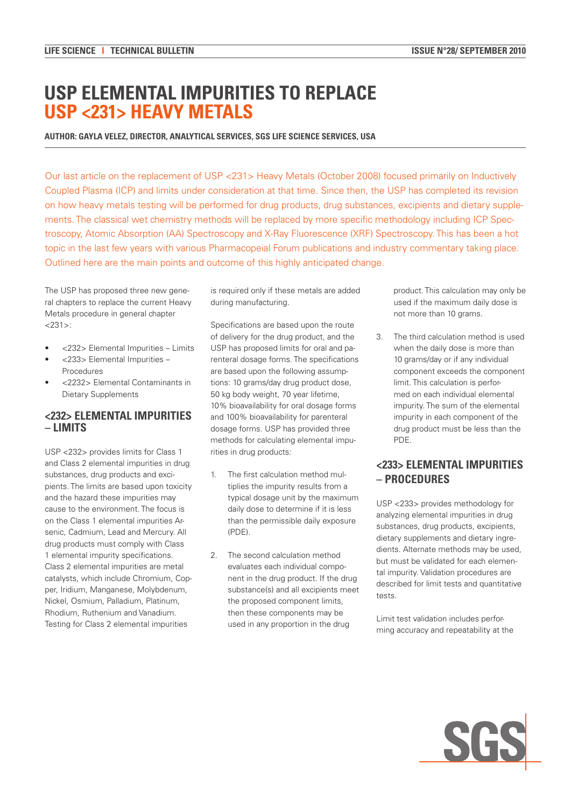# **USP ELEMENTAL IMPURITIES TO REPLACE USP <231> HEAVY METALS**

### **AUTHOR: GAYLA VELEZ, DIRECTOR, ANALYTICAL SERVICES, SGS LIFE SCIENCE SERVICES, USA**

Our last article on the replacement of USP <231> Heavy Metals (October 2008) focused primarily on Inductively Coupled Plasma (ICP) and limits under consideration at that time. Since then, the USP has completed its revision on how heavy metals testing will be performed for drug products, drug substances, excipients and dietary supplements. The classical wet chemistry methods will be replaced by more specific methodology including ICP Spectroscopy, Atomic Absorption (AA) Spectroscopy and X-Ray Fluorescence (XRF) Spectroscopy. This has been a hot topic in the last few years with various Pharmacopeial Forum publications and industry commentary taking place. Outlined here are the main points and outcome of this highly anticipated change.

The USP has proposed three new general chapters to replace the current Heavy Metals procedure in general chapter <231>:

- <232> Elemental Impurities Limits
- • <233> Elemental Impurities Procedures
- • <2232> Elemental Contaminants in Dietary Supplements

## **<232> ELEMENTAL IMPURITIES – LIMITS**

USP <232> provides limits for Class 1 and Class 2 elemental impurities in drug substances, drug products and excipients. The limits are based upon toxicity and the hazard these impurities may cause to the environment. The focus is on the Class 1 elemental impurities Arsenic, Cadmium, Lead and Mercury. All drug products must comply with Class 1 elemental impurity specifications. Class 2 elemental impurities are metal catalysts, which include Chromium, Copper, Iridium, Manganese, Molybdenum, Nickel, Osmium, Palladium, Platinum, Rhodium, Ruthenium and Vanadium. Testing for Class 2 elemental impurities

is required only if these metals are added during manufacturing.

Specifications are based upon the route of delivery for the drug product, and the USP has proposed limits for oral and parenteral dosage forms. The specifications are based upon the following assumptions: 10 grams/day drug product dose, 50 kg body weight, 70 year lifetime, 10% bioavailability for oral dosage forms and 100% bioavailability for parenteral dosage forms. USP has provided three methods for calculating elemental impurities in drug products:

- 1. The first calculation method multiplies the impurity results from a typical dosage unit by the maximum daily dose to determine if it is less than the permissible daily exposure (PDE).
- 2. The second calculation method evaluates each individual component in the drug product. If the drug substance(s) and all excipients meet the proposed component limits, then these components may be used in any proportion in the drug

product. This calculation may only be used if the maximum daily dose is not more than 10 grams.

3. The third calculation method is used when the daily dose is more than 10 grams/day or if any individual component exceeds the component limit. This calculation is performed on each individual elemental impurity. The sum of the elemental impurity in each component of the drug product must be less than the PDE.

# **<233> ELEMENTAL IMPURITIES – PROCEDURES**

USP <233> provides methodology for analyzing elemental impurities in drug substances, drug products, excipients, dietary supplements and dietary ingredients. Alternate methods may be used, but must be validated for each elemental impurity. Validation procedures are described for limit tests and quantitative tests

Limit test validation includes performing accuracy and repeatability at the